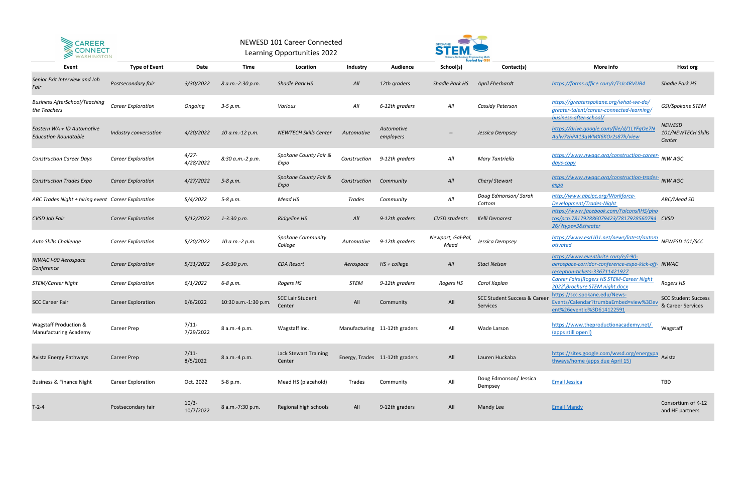| Event                                                            | <b>Type of Event</b>      | Date                  | Time                 | Location                               | Industry     | Audience                       | School(s)                 | tueled bv<br>Contact(s)                            | More info                                                                                                                  | Host org                                        |
|------------------------------------------------------------------|---------------------------|-----------------------|----------------------|----------------------------------------|--------------|--------------------------------|---------------------------|----------------------------------------------------|----------------------------------------------------------------------------------------------------------------------------|-------------------------------------------------|
| Senior Exit Interview and Job<br>Fair                            | Postsecondary fair        | 3/30/2022             | 8 a.m.-2:30 p.m.     | <b>Shadle Park HS</b>                  | All          | 12th graders                   | Shadle Park HS            | April Eberhardt                                    | https://forms.office.com/r/TsJc4RVUB4                                                                                      | <b>Shadle Park HS</b>                           |
| <b>Business AfterSchool/Teaching</b><br>the Teachers             | <b>Career Exploration</b> | Ongoing               | $3-5 p.m.$           | Various                                | All          | 6-12th graders                 | All                       | Cassidy Peterson                                   | https://greaterspokane.org/what-we-do/<br>greater-talent/career-connected-learning/<br>business-after-school/              | GSI/Spokane STEM                                |
| Eastern WA + ID Automotive<br><b>Education Roundtable</b>        | Industry conversation     | 4/20/2022             | 10 a.m.-12 p.m.      | <b>NEWTECH Skills Center</b>           | Automotive   | Automotive<br>employers        | --                        | Jessica Dempsey                                    | https://drive.google.com/file/d/1LYFqOe7N<br>Aalw7zhPA13qWMX6KOr2s87h/view                                                 | <b>NEWESD</b><br>101/NEWTECH Skills<br>Center   |
| <b>Construction Career Days</b>                                  | <b>Career Exploration</b> | $4/27 -$<br>4/28/2022 | 8:30 a.m.-2 p.m.     | Spokane County Fair &<br>Expo          | Construction | 9-12th graders                 | All                       | Mary Tantriella                                    | https://www.nwagc.org/construction-career-<br>days-copy                                                                    | <b>INW AGC</b>                                  |
| <b>Construction Trades Expo</b>                                  | <b>Career Exploration</b> | 4/27/2022             | 5-8 p.m.             | Spokane County Fair &<br>Expo          | Construction | Community                      | All                       | Cheryl Stewart                                     | https://www.nwagc.org/construction-trades-<br>expo                                                                         | <b>INW AGC</b>                                  |
| ABC Trades Night + hiring event Career Exploration               |                           | 5/4/2022              | 5-8 p.m.             | Mead HS                                | Trades       | Community                      | All                       | Doug Edmonson/ Sarah<br>Cottom                     | http://www.abcipc.org/Workforce-<br>Development/Trades-Night                                                               | ABC/Mead SD                                     |
| <b>CVSD Job Fair</b>                                             | <b>Career Exploration</b> | 5/12/2022             | $1 - 3:30 p.m.$      | <b>Ridgeline HS</b>                    | All          | 9-12th graders                 | CVSD students             | Kelli Demarest                                     | https://www.facebook.com/FalconsRHS/pho<br>tos/pcb.781792886079423/7817928560794 CVSD<br>26/?type=3&theater                |                                                 |
| Auto Skills Challenge                                            | <b>Career Exploration</b> | 5/20/2022             | 10 a.m.-2 p.m.       | <b>Spokane Community</b><br>College    | Automotive   | 9-12th graders                 | Newport, Gal-Pal,<br>Mead | Jessica Dempsey                                    | https://www.esd101.net/news/latest/autom<br>otivated                                                                       | NEWESD 101/SCC                                  |
| <b>INWAC I-90 Aerospace</b><br>Conference                        | <b>Career Exploration</b> | 5/31/2022             | 5-6:30 p.m.          | <b>CDA Resort</b>                      | Aerospace    | $HS + college$                 | All                       | Staci Nelson                                       | https://www.eventbrite.com/e/i-90-<br>aerospace-corridor-conference-expo-kick-off- INWAC<br>reception-tickets-336711421927 |                                                 |
| STEM/Career Night                                                | <b>Career Exploration</b> | 6/1/2022              | 6-8 p.m.             | Rogers HS                              | <b>STEM</b>  | 9-12th graders                 | Rogers HS                 | Carol Kaplan                                       | Career Fairs\Rogers HS STEM-Career Night<br>2022\Brochure STEM night.docx                                                  | Rogers HS                                       |
| <b>SCC Career Fair</b>                                           | <b>Career Exploration</b> | 6/6/2022              | 10:30 a.m.-1:30 p.m. | <b>SCC Lair Student</b><br>Center      | All          | Community                      | All                       | <b>SCC Student Success &amp; Caree</b><br>Services | https://scc.spokane.edu/News-<br>Events/Calendar?trumbaEmbed=view%3Dev<br>ent%26eventid%3D614122591                        | <b>SCC Student Success</b><br>& Career Services |
| <b>Wagstaff Production &amp;</b><br><b>Manufacturing Academy</b> | <b>Career Prep</b>        | $7/11$ -<br>7/29/2022 | 8 a.m.-4 p.m.        | Wagstaff Inc.                          |              | Manufacturing 11-12th graders  | All                       | Wade Larson                                        | https://www.theproductionacademy.net/<br>(apps still open!)                                                                | Wagstaff                                        |
| Avista Energy Pathways                                           | <b>Career Prep</b>        | $7/11$ -<br>8/5/2022  | 8 a.m.-4 p.m.        | <b>Jack Stewart Training</b><br>Center |              | Energy, Trades 11-12th graders | All                       | Lauren Huckaba                                     | https://sites.google.com/wvsd.org/energypa Avista<br>thways/home (apps due April 15)                                       |                                                 |
| <b>Business &amp; Finance Night</b>                              | <b>Career Exploration</b> | Oct. 2022             | 5-8 p.m.             | Mead HS (placehold)                    | Trades       | Community                      | All                       | Doug Edmonson/ Jessica<br>Dempsey                  | <b>Email Jessica</b>                                                                                                       | TBD                                             |
| $T-2-4$                                                          | Postsecondary fair        | $10/3-$<br>10/7/2022  | 8 a.m.-7:30 p.m.     | Regional high schools                  | All          | 9-12th graders                 | All                       | Mandy Lee                                          | <b>Email Mandy</b>                                                                                                         | Consortium of K-12<br>and HE partners           |



## NEWESD 101 Career Connected Learning Opportunities 2022